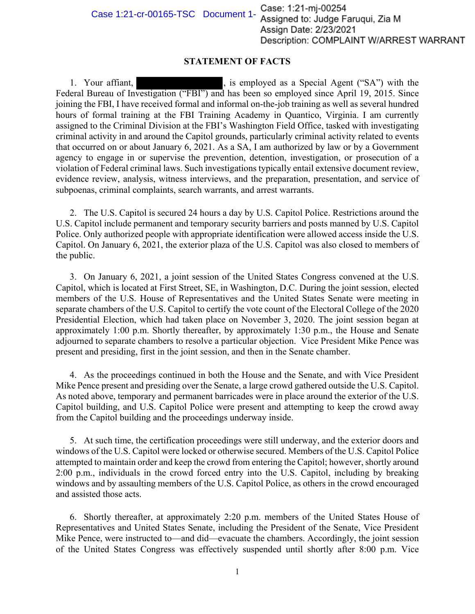Case 1:21-cr-00165-TSC Document 1-Case: 1:21-mj-00254 Assigned to: Judge Faruqui, Zia M **Assign Date: 2/23/2021** Description: COMPLAINT W/ARREST WARRANT

## **STATEMENT OF FACTS**

1. Your affiant,  $\qquad \qquad$ , is employed as a Special Agent ("SA") with the Federal Bureau of Investigation ("FBI") and has been so employed since April 19, 2015. Since joining the FBI, I have received formal and informal on-the-job training as well as several hundred hours of formal training at the FBI Training Academy in Quantico, Virginia. I am currently assigned to the Criminal Division at the FBI's Washington Field Office, tasked with investigating criminal activity in and around the Capitol grounds, particularly criminal activity related to events that occurred on or about January 6, 2021. As a SA, I am authorized by law or by a Government agency to engage in or supervise the prevention, detention, investigation, or prosecution of a violation of Federal criminal laws. Such investigations typically entail extensive document review, evidence review, analysis, witness interviews, and the preparation, presentation, and service of subpoenas, criminal complaints, search warrants, and arrest warrants.

2. The U.S. Capitol is secured 24 hours a day by U.S. Capitol Police. Restrictions around the U.S. Capitol include permanent and temporary security barriers and posts manned by U.S. Capitol Police. Only authorized people with appropriate identification were allowed access inside the U.S. Capitol. On January 6, 2021, the exterior plaza of the U.S. Capitol was also closed to members of the public.

3. On January 6, 2021, a joint session of the United States Congress convened at the U.S. Capitol, which is located at First Street, SE, in Washington, D.C. During the joint session, elected members of the U.S. House of Representatives and the United States Senate were meeting in separate chambers of the U.S. Capitol to certify the vote count of the Electoral College of the 2020 Presidential Election, which had taken place on November 3, 2020. The joint session began at approximately 1:00 p.m. Shortly thereafter, by approximately 1:30 p.m., the House and Senate adjourned to separate chambers to resolve a particular objection. Vice President Mike Pence was present and presiding, first in the joint session, and then in the Senate chamber.

4. As the proceedings continued in both the House and the Senate, and with Vice President Mike Pence present and presiding over the Senate, a large crowd gathered outside the U.S. Capitol. As noted above, temporary and permanent barricades were in place around the exterior of the U.S. Capitol building, and U.S. Capitol Police were present and attempting to keep the crowd away from the Capitol building and the proceedings underway inside.

5. At such time, the certification proceedings were still underway, and the exterior doors and windows of the U.S. Capitol were locked or otherwise secured. Members of the U.S. Capitol Police attempted to maintain order and keep the crowd from entering the Capitol; however, shortly around 2:00 p.m., individuals in the crowd forced entry into the U.S. Capitol, including by breaking windows and by assaulting members of the U.S. Capitol Police, as others in the crowd encouraged and assisted those acts.

6. Shortly thereafter, at approximately 2:20 p.m. members of the United States House of Representatives and United States Senate, including the President of the Senate, Vice President Mike Pence, were instructed to—and did—evacuate the chambers. Accordingly, the joint session of the United States Congress was effectively suspended until shortly after 8:00 p.m. Vice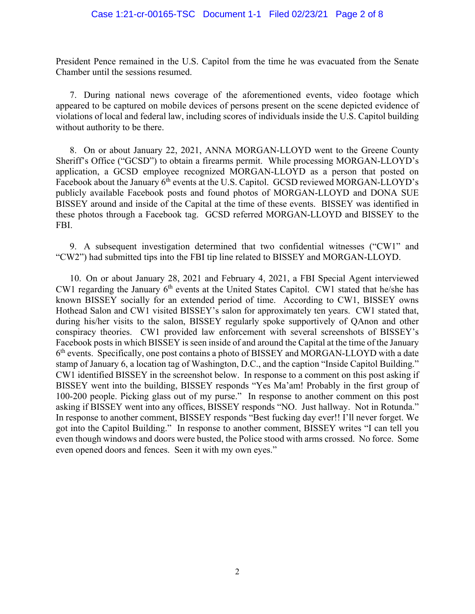President Pence remained in the U.S. Capitol from the time he was evacuated from the Senate Chamber until the sessions resumed.

7. During national news coverage of the aforementioned events, video footage which appeared to be captured on mobile devices of persons present on the scene depicted evidence of violations of local and federal law, including scores of individuals inside the U.S. Capitol building without authority to be there.

 Sheriff's Office ("GCSD") to obtain a firearms permit. While processing MORGAN-LLOYD's BISSEY around and inside of the Capital at the time of these events. BISSEY was identified in 8. On or about January 22, 2021, ANNA MORGAN-LLOYD went to the Greene County application, a GCSD employee recognized MORGAN-LLOYD as a person that posted on Facebook about the January 6<sup>th</sup> events at the U.S. Capitol. GCSD reviewed MORGAN-LLOYD's publicly available Facebook posts and found photos of MORGAN-LLOYD and DONA SUE these photos through a Facebook tag. GCSD referred MORGAN-LLOYD and BISSEY to the FBI.

9. A subsequent investigation determined that two confidential witnesses ("CW1" and "CW2") had submitted tips into the FBI tip line related to BISSEY and MORGAN-LLOYD.

 Hothead Salon and CW1 visited BISSEY's salon for approximately ten years. CW1 stated that, conspiracy theories. CW1 provided law enforcement with several screenshots of BISSEY's  $6<sup>th</sup>$  events. Specifically, one post contains a photo of BISSEY and MORGAN-LLOYD with a date 10. On or about January 28, 2021 and February 4, 2021, a FBI Special Agent interviewed CW1 regarding the January  $6<sup>th</sup>$  events at the United States Capitol. CW1 stated that he/she has known BISSEY socially for an extended period of time. According to CW1, BISSEY owns during his/her visits to the salon, BISSEY regularly spoke supportively of QAnon and other Facebook posts in which BISSEY is seen inside of and around the Capital at the time of the January stamp of January 6, a location tag of Washington, D.C., and the caption "Inside Capitol Building." CW1 identified BISSEY in the screenshot below. In response to a comment on this post asking if BISSEY went into the building, BISSEY responds "Yes Ma'am! Probably in the first group of 100-200 people. Picking glass out of my purse." In response to another comment on this post asking if BISSEY went into any offices, BISSEY responds "NO. Just hallway. Not in Rotunda." In response to another comment, BISSEY responds "Best fucking day ever!! I'll never forget. We got into the Capitol Building." In response to another comment, BISSEY writes "I can tell you even though windows and doors were busted, the Police stood with arms crossed. No force. Some even opened doors and fences. Seen it with my own eyes."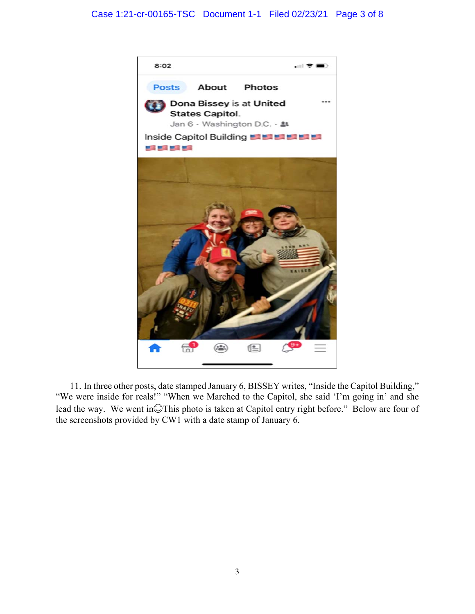## Case 1:21-cr-00165-TSC Document 1-1 Filed 02/23/21 Page 3 of 8



lead the way. We went in $\bigcirc$ This photo is taken at Capitol entry right before." Below are four of the screenshots provided by CW1 with a date stamp of January 6. 11. In three other posts, date stamped January 6, BISSEY writes, "Inside the Capitol Building," "We were inside for reals!" "When we Marched to the Capitol, she said 'I'm going in' and she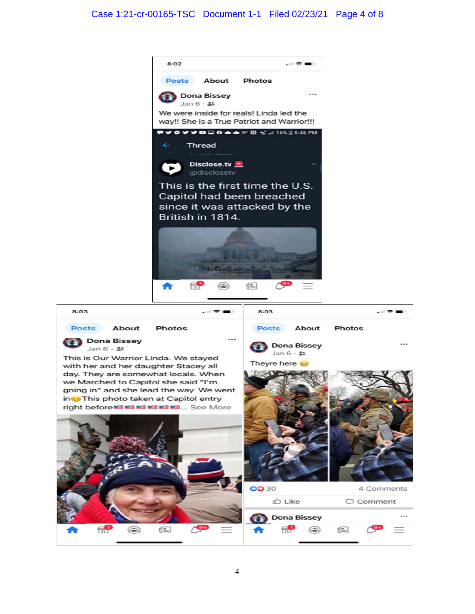## Case 1:21-cr-00165-TSC Document 1-1 Filed 02/23/21 Page 4 of 8

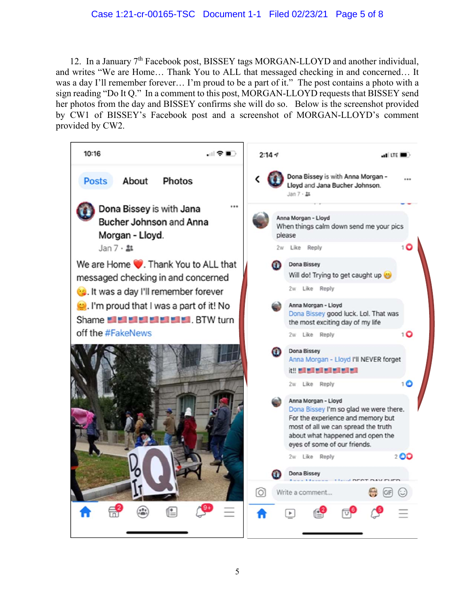## Case 1:21-cr-00165-TSC Document 1-1 Filed 02/23/21 Page 5 of 8

 by CW1 of BISSEY's Facebook post and a screenshot of MORGAN-LLOYD's comment 12. In a January 7<sup>th</sup> Facebook post, BISSEY tags MORGAN-LLOYD and another individual, and writes "We are Home… Thank You to ALL that messaged checking in and concerned… It was a day I'll remember forever… I'm proud to be a part of it." The post contains a photo with a sign reading "Do It Q." In a comment to this post, MORGAN-LLOYD requests that BISSEY send her photos from the day and BISSEY confirms she will do so. Below is the screenshot provided provided by CW2.

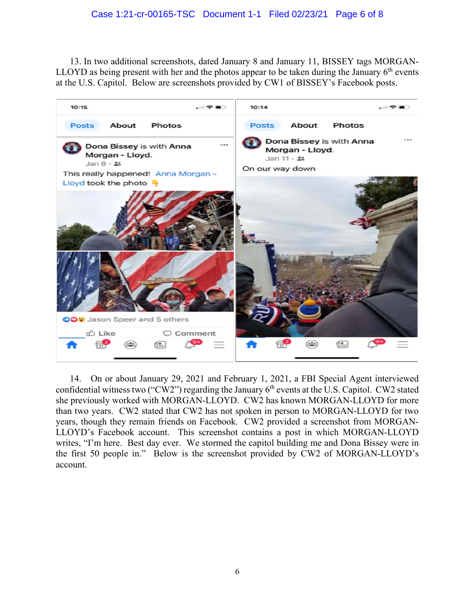13. In two additional screenshots, dated January 8 and January 11, BISSEY tags MORGAN-LLOYD as being present with her and the photos appear to be taken during the January  $6<sup>th</sup>$  events at the U.S. Capitol. Below are screenshots provided by CW1 of BISSEY's Facebook posts.



confidential witness two ("CW2") regarding the January 6<sup>th</sup> events at the U.S. Capitol. CW2 stated years, though they remain friends on Facebook. CW2 provided a screenshot from MORGAN- writes, "I'm here. Best day ever. We stormed the capitol building me and Dona Bissey were in 14. On or about January 29, 2021 and February 1, 2021, a FBI Special Agent interviewed she previously worked with MORGAN-LLOYD. CW2 has known MORGAN-LLOYD for more than two years. CW2 stated that CW2 has not spoken in person to MORGAN-LLOYD for two LLOYD's Facebook account. This screenshot contains a post in which MORGAN-LLOYD the first 50 people in." Below is the screenshot provided by CW2 of MORGAN-LLOYD's account.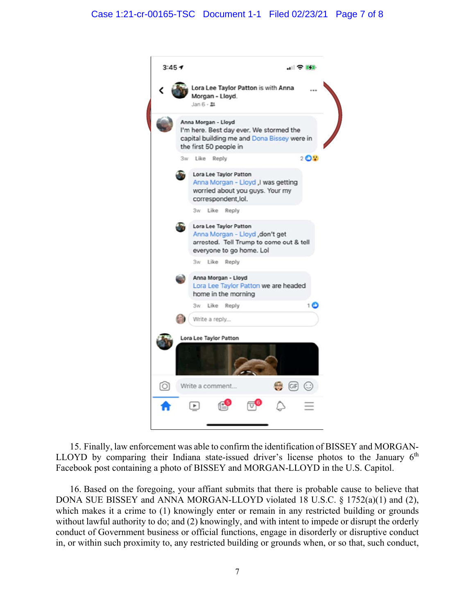

 15. Finally, law enforcement was able to confirm the identification of BISSEY and MORGAN-LLOYD by comparing their Indiana state-issued driver's license photos to the January  $6<sup>th</sup>$ Facebook post containing a photo of BISSEY and MORGAN-LLOYD in the U.S. Capitol.

 which makes it a crime to (1) knowingly enter or remain in any restricted building or grounds 16. Based on the foregoing, your affiant submits that there is probable cause to believe that DONA SUE BISSEY and ANNA MORGAN-LLOYD violated 18 U.S.C. § 1752(a)(1) and (2), without lawful authority to do; and (2) knowingly, and with intent to impede or disrupt the orderly conduct of Government business or official functions, engage in disorderly or disruptive conduct in, or within such proximity to, any restricted building or grounds when, or so that, such conduct,